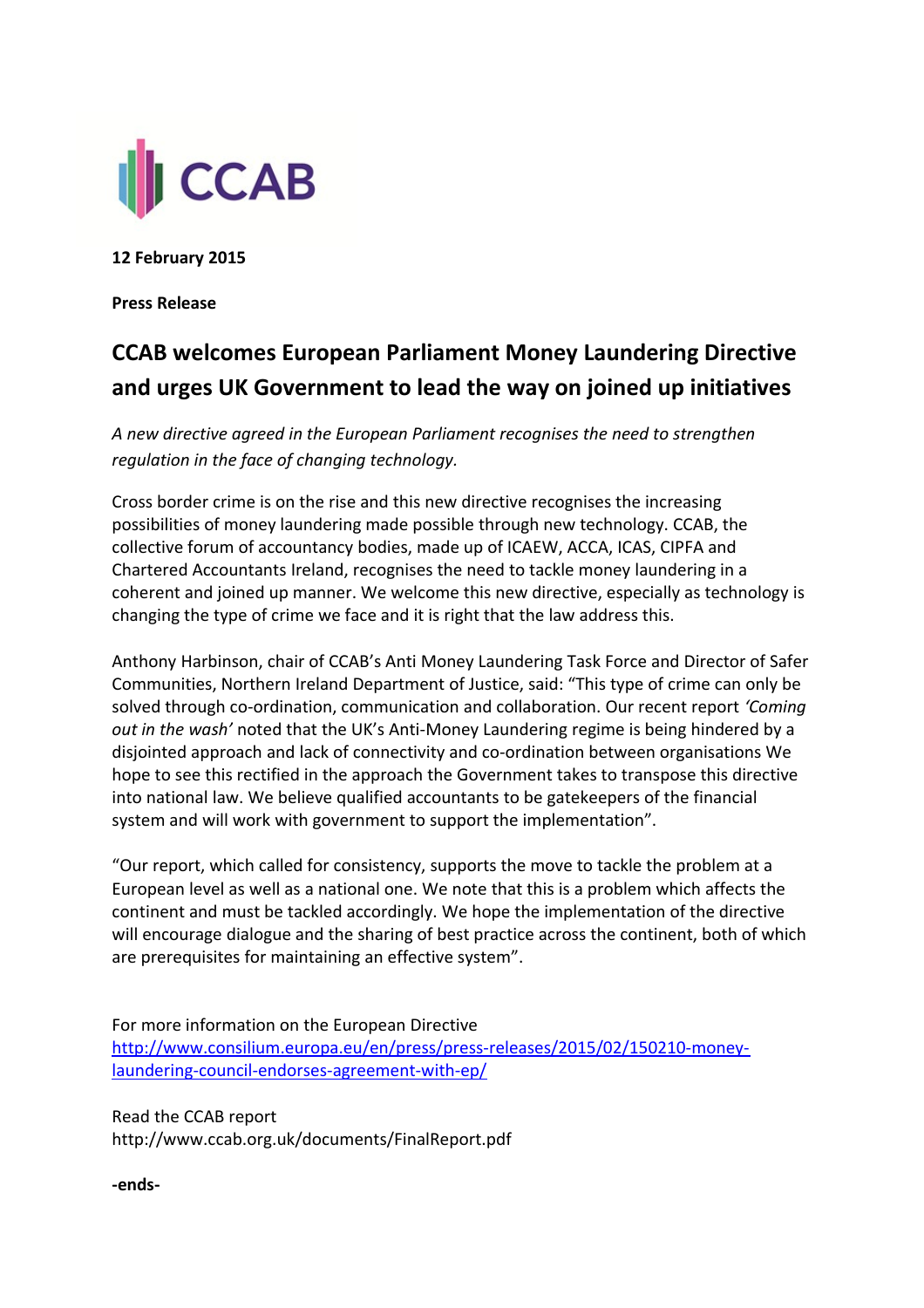

**12 February 2015**

**Press Release** 

## **CCAB welcomes European Parliament Money Laundering Directive and urges UK Government to lead the way on joined up initiatives**

*A new directive agreed in the European Parliament recognises the need to strengthen regulation in the face of changing technology.* 

Cross border crime is on the rise and this new directive recognises the increasing possibilities of money laundering made possible through new technology. CCAB, the collective forum of accountancy bodies, made up of ICAEW, ACCA, ICAS, CIPFA and Chartered Accountants Ireland, recognises the need to tackle money laundering in a coherent and joined up manner. We welcome this new directive, especially as technology is changing the type of crime we face and it is right that the law address this.

Anthony Harbinson, chair of CCAB's Anti Money Laundering Task Force and Director of Safer Communities, Northern Ireland Department of Justice, said: "This type of crime can only be solved through co-ordination, communication and collaboration. Our recent report *'Coming out in the wash'* noted that the UK's Anti-Money Laundering regime is being hindered by a disjointed approach and lack of connectivity and co-ordination between organisations We hope to see this rectified in the approach the Government takes to transpose this directive into national law. We believe qualified accountants to be gatekeepers of the financial system and will work with government to support the implementation".

"Our report, which called for consistency, supports the move to tackle the problem at a European level as well as a national one. We note that this is a problem which affects the continent and must be tackled accordingly. We hope the implementation of the directive will encourage dialogue and the sharing of best practice across the continent, both of which are prerequisites for maintaining an effective system".

For more information on the European Directive [http://www.consilium.europa.eu/en/press/press-releases/2015/02/150210-money](http://www.consilium.europa.eu/en/press/press-releases/2015/02/150210-money-laundering-council-endorses-agreement-with-ep/)[laundering-council-endorses-agreement-with-ep/](http://www.consilium.europa.eu/en/press/press-releases/2015/02/150210-money-laundering-council-endorses-agreement-with-ep/)

Read the CCAB report http://www.ccab.org.uk/documents/FinalReport.pdf

**-ends-**